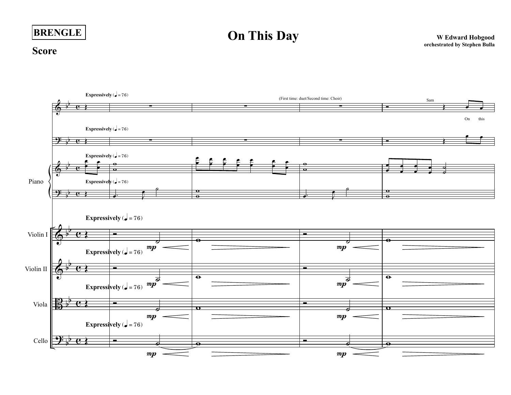## **BRENGLE**

## **On This Day** WEdward Hobgood

## **Score**

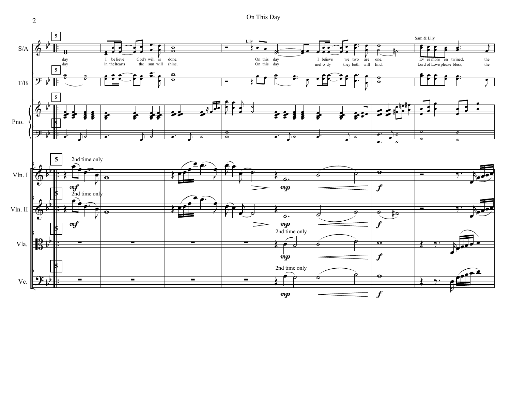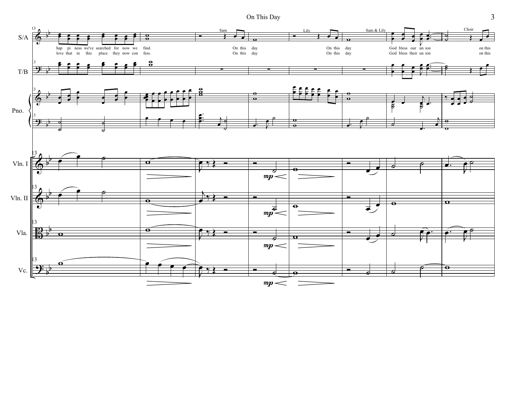On This Day

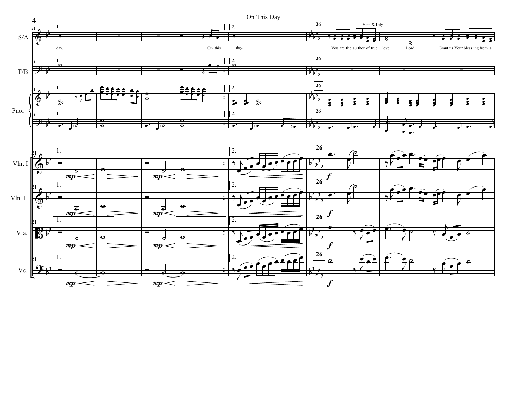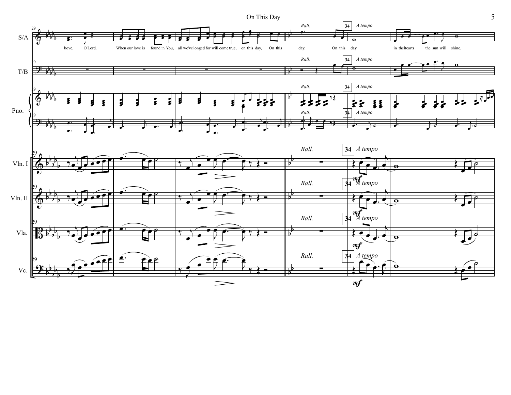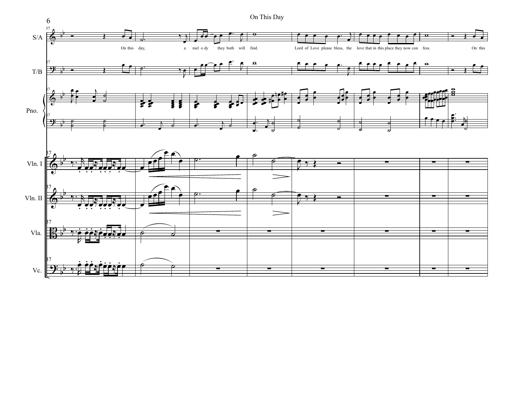